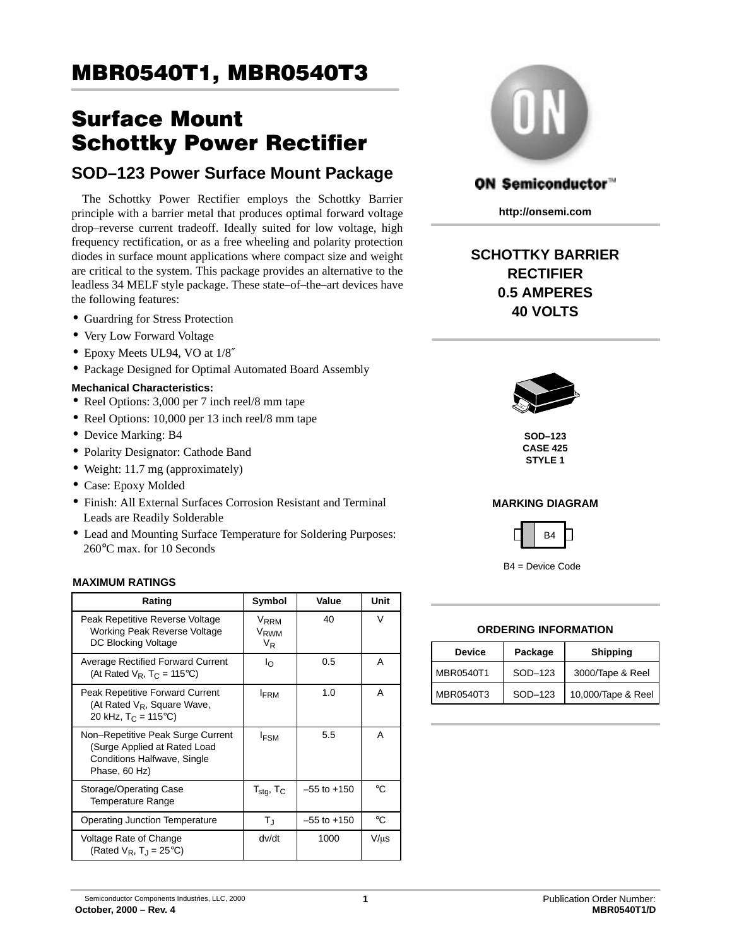# Surface Mount Schottky Power Rectifier

## **SOD–123 Power Surface Mount Package**

The Schottky Power Rectifier employs the Schottky Barrier principle with a barrier metal that produces optimal forward voltage drop–reverse current tradeoff. Ideally suited for low voltage, high frequency rectification, or as a free wheeling and polarity protection diodes in surface mount applications where compact size and weight are critical to the system. This package provides an alternative to the leadless 34 MELF style package. These state–of–the–art devices have the following features:

- Guardring for Stress Protection
- Very Low Forward Voltage
- Epoxy Meets UL94, VO at  $1/8''$
- Package Designed for Optimal Automated Board Assembly

### **Mechanical Characteristics:**

- Reel Options: 3,000 per 7 inch reel/8 mm tape
- Reel Options: 10,000 per 13 inch reel/8 mm tape
- Device Marking: B4
- Polarity Designator: Cathode Band
- Weight: 11.7 mg (approximately)
- Case: Epoxy Molded
- Finish: All External Surfaces Corrosion Resistant and Terminal Leads are Readily Solderable
- Lead and Mounting Surface Temperature for Soldering Purposes: 260°C max. for 10 Seconds

### **MAXIMUM RATINGS**

| Rating                                                                                                            | Symbol                                            | Value           | Unit      |  |
|-------------------------------------------------------------------------------------------------------------------|---------------------------------------------------|-----------------|-----------|--|
| Peak Repetitive Reverse Voltage<br>Working Peak Reverse Voltage<br>DC Blocking Voltage                            | <b>VRRM</b><br>V <sub>RWM</sub><br>V <sub>R</sub> | 40              | V         |  |
| <b>Average Rectified Forward Current</b><br>(At Rated $V_R$ , T <sub>C</sub> = 115 <sup>o</sup> C)                | Io                                                | 0.5             | A         |  |
| Peak Repetitive Forward Current<br>(At Rated $V_R$ , Square Wave,<br>20 kHz, $T_C = 115^{\circ}C$                 | <b>FRM</b>                                        | 1.0             | A         |  |
| Non-Repetitive Peak Surge Current<br>(Surge Applied at Rated Load<br>Conditions Halfwave, Single<br>Phase, 60 Hz) | $I_{FSM}$                                         | 5.5             | A         |  |
| Storage/Operating Case<br><b>Temperature Range</b>                                                                | $T_{\text{stg}}$ , $T_C$                          | $-55$ to $+150$ | ി         |  |
| Operating Junction Temperature                                                                                    | $T_{\rm J}$                                       | $-55$ to $+150$ | °C        |  |
| Voltage Rate of Change<br>(Rated $V_R$ , T <sub>1</sub> = 25 <sup>o</sup> C)                                      | dv/dt                                             | 1000            | $V/\mu s$ |  |



## ON Semiconductor"

**http://onsemi.com**

## **SCHOTTKY BARRIER RECTIFIER 0.5 AMPERES 40 VOLTS**



**SOD–123 CASE 425 STYLE 1**

### **MARKING DIAGRAM**



B4 = Device Code

#### **ORDERING INFORMATION**

| <b>Device</b> | Package | <b>Shipping</b>    |
|---------------|---------|--------------------|
| MBR0540T1     | SOD-123 | 3000/Tape & Reel   |
| MBR0540T3     | SOD-123 | 10,000/Tape & Reel |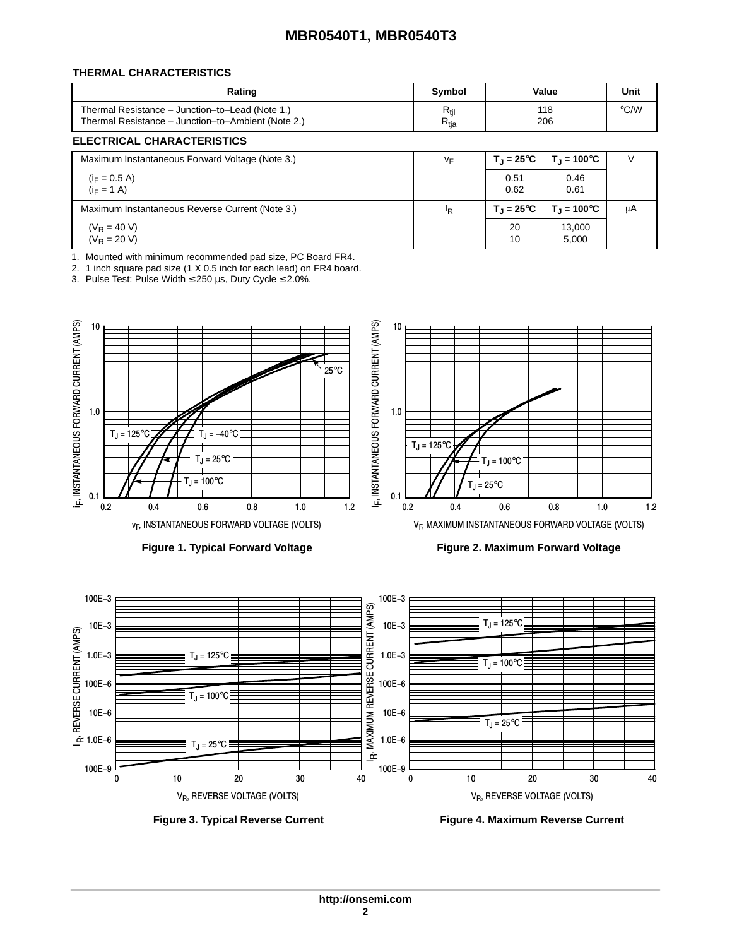#### **THERMAL CHARACTERISTICS**

| Rating                                             | Symbol                      | Value | Unit |
|----------------------------------------------------|-----------------------------|-------|------|
| Thermal Resistance - Junction-to-Lead (Note 1.)    | $R_{\text{til}}$            | 118   | °C/W |
| Thermal Resistance – Junction–to–Ambient (Note 2.) | $\mathsf{R}_{\mathsf{tja}}$ | 206   |      |

#### **ELECTRICAL CHARACTERISTICS**

| Maximum Instantaneous Forward Voltage (Note 3.) | VF             | $T_{\rm J}$ = 25 $^{\circ}$ C | $T_{\rm J}$ = 100°C         |    |
|-------------------------------------------------|----------------|-------------------------------|-----------------------------|----|
| $(i_F = 0.5 A)$<br>$(i_F = 1 A)$                |                | 0.51<br>0.62                  | 0.46<br>0.61                |    |
| Maximum Instantaneous Reverse Current (Note 3.) | <sup>I</sup> R | $T_{\rm J}$ = 25 $^{\circ}$ C | $T_{\rm J} = 100^{\circ}$ C | μA |
| $(V_R = 40 V)$<br>$(V_R = 20 V)$                |                | 20<br>10                      | 13,000<br>5,000             |    |

1. Mounted with minimum recommended pad size, PC Board FR4.

2. 1 inch square pad size (1 X 0.5 inch for each lead) on FR4 board.

3. Pulse Test: Pulse Width ≤ 250 µs, Duty Cycle ≤ 2.0%.





**Figure 1. Typical Forward Voltage Figure 2. Maximum Forward Voltage**

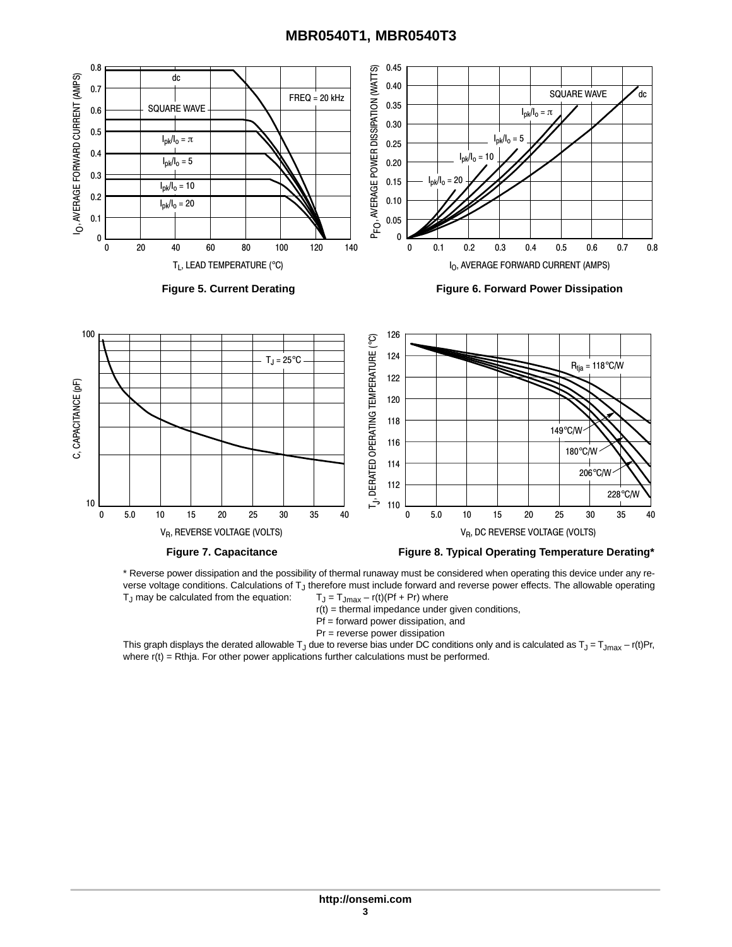



\* Reverse power dissipation and the possibility of thermal runaway must be considered when operating this device under any reverse voltage conditions. Calculations of T<sub>J</sub> therefore must include forward and reverse power effects. The allowable operating  $T_J$  may be calculated from the equation:  $T_J = T_{Jmax} - r(t)(Pf + Pr)$  where  $T_J$  may be calculated from the equation:

- $r(t)$  = thermal impedance under given conditions,
- Pf = forward power dissipation, and
- Pr = reverse power dissipation

This graph displays the derated allowable T<sub>J</sub> due to reverse bias under DC conditions only and is calculated as T<sub>J</sub> = T<sub>Jmax</sub> – r(t)Pr, where  $r(t)$  = Rthja. For other power applications further calculations must be performed.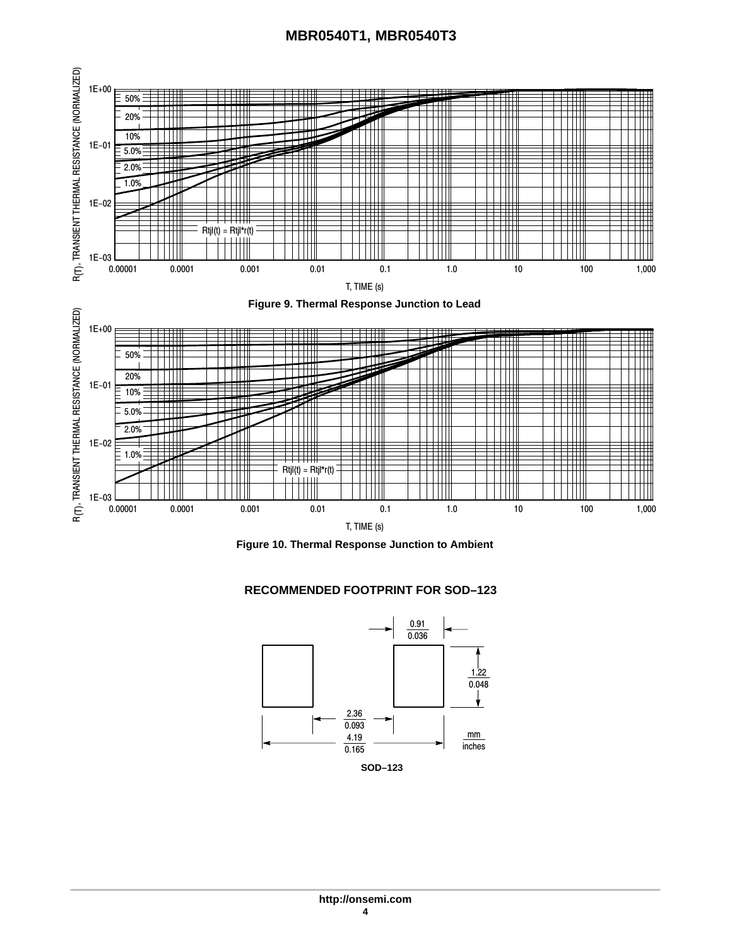



#### **RECOMMENDED FOOTPRINT FOR SOD–123**

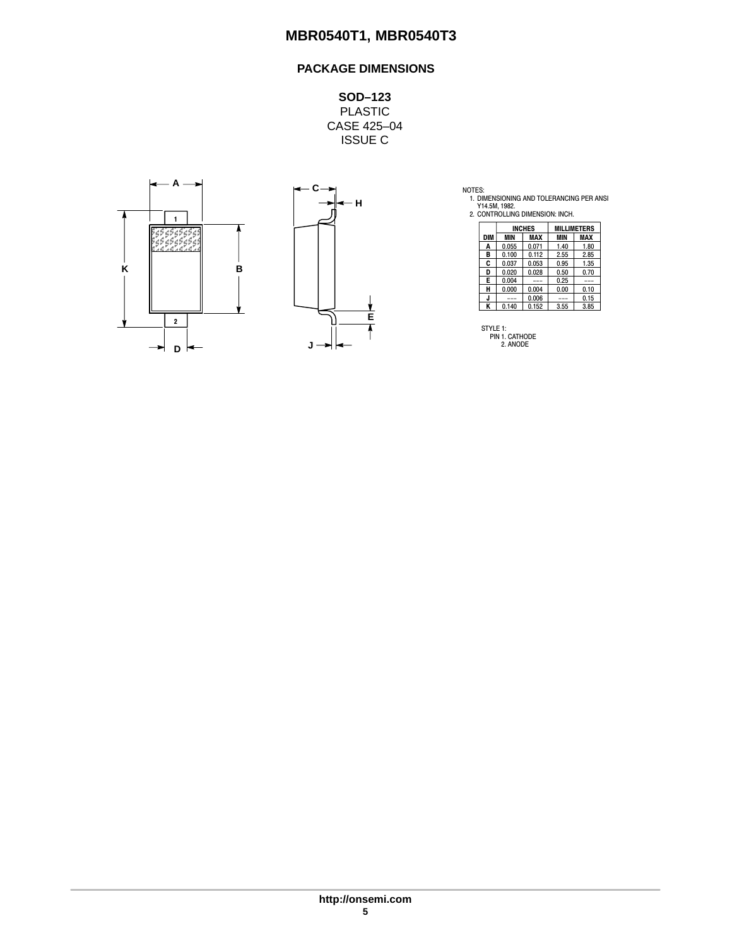## **PACKAGE DIMENSIONS**

**SOD–123** PLASTIC CASE 425–04 ISSUE C





NOTES:<br>1. DIMENSIONING AND TOLERANCING PER ANSI<br>Y14.5M, 1982.<br>2. CONTROLLING DIMENSION: INCH.

|     | <b>INCHES</b> |            |            | <b>MILLIMETERS</b> |
|-----|---------------|------------|------------|--------------------|
| DIM | MIN           | <b>MAX</b> | <b>MIN</b> | MAX                |
| A   | 0.055         | 0.071      | 1.40       | 1.80               |
| в   | 0.100         | 0.112      | 2.55       | 2.85               |
| C   | 0.037         | 0.053      | 0.95       | 1.35               |
| D   | 0.020         | 0.028      | 0.50       | 0.70               |
| E   | 0.004         | ---        | 0.25       | ---                |
| н   | 0.000         | 0.004      | 0.00       | 0.10               |
|     | ---           | 0.006      | ---        | 0.15               |
| ĸ   | 0.140         | 0.152      | 3.55       | 3.85               |

STYLE 1: PIN 1. CATHODE 2. ANODE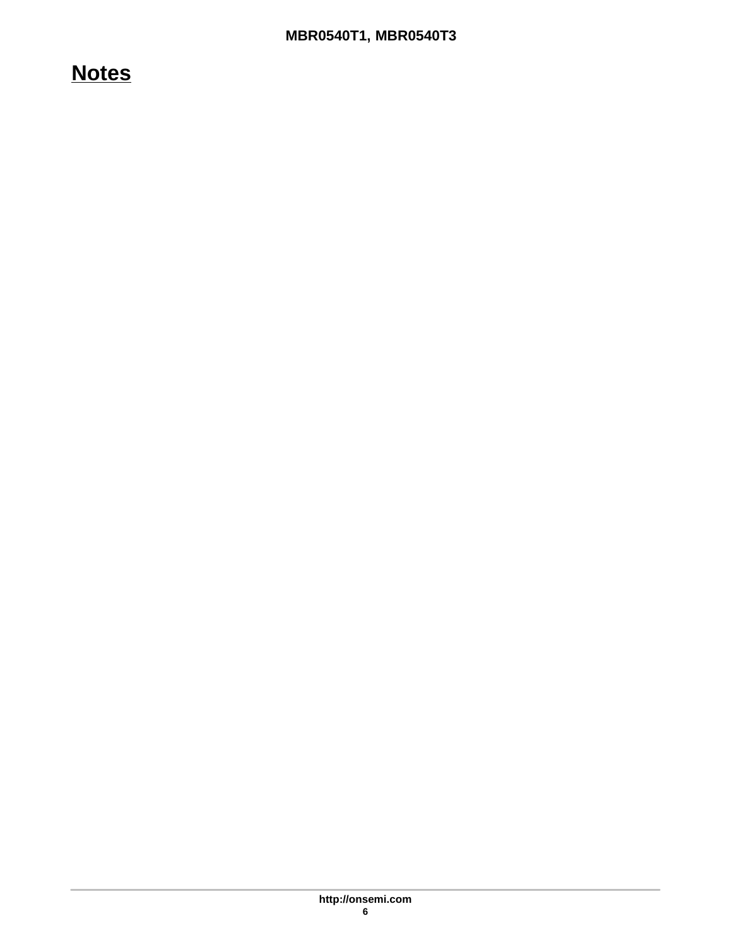## **Notes**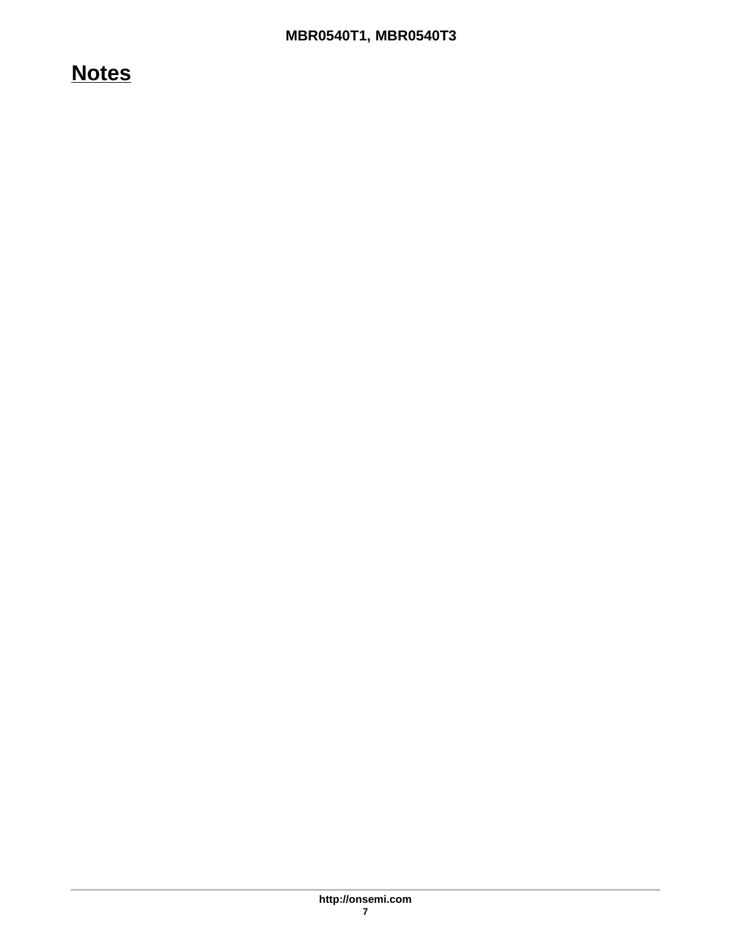## **Notes**